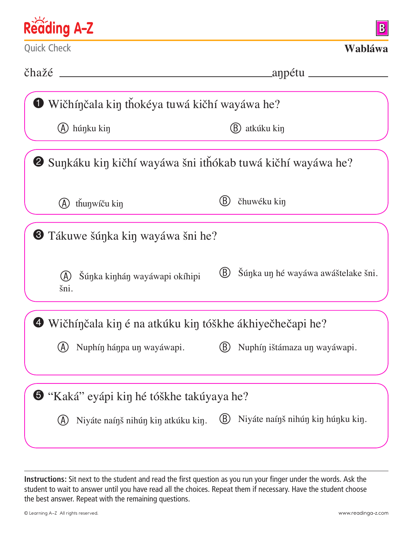| Reading A-Z                                                         | $\bf{B}$                                  |
|---------------------------------------------------------------------|-------------------------------------------|
| <b>Quick Check</b>                                                  | Wabláwa                                   |
|                                                                     | _aŋpétu ________________                  |
| Wičhínčala kin tňokéya tuwá kičhí wayáwa he?                        |                                           |
| (A) húnku kin                                                       | atkúku kin                                |
| <b>2</b> Sunkáku kin kičhí wayáwa šni ithókab tuwá kičhí wayáwa he? |                                           |
| thunwíču kin                                                        | čhuwéku kin                               |
| $\bullet$ Tákuwe šúnka kin wayáwa šni he?                           |                                           |
| Šúnka kinhán wayáwapi okíhipi<br>(A)<br>šni.                        | Súnka un hé wayáwa awáštelake šni.<br>(B) |
| $\bullet$ Wičhínčala kin é na atkúku kin tóškhe ákhiyečhečapi he?   |                                           |
| Nuphín hánpa un wayáwapi.                                           | Nuphín ištámaza un wayáwapi.              |
| S "Kaká" eyápi kin hé tóškhe takúyaya he?                           |                                           |
| Niyáte naínš nihún kin atkúku kin.                                  | Niyáte naínš nihún kin húnku kin.<br>(B)  |

**Instructions:** Sit next to the student and read the first question as you run your finger under the words. Ask the student to wait to answer until you have read all the choices. Repeat them if necessary. Have the student choose the best answer. Repeat with the remaining questions.